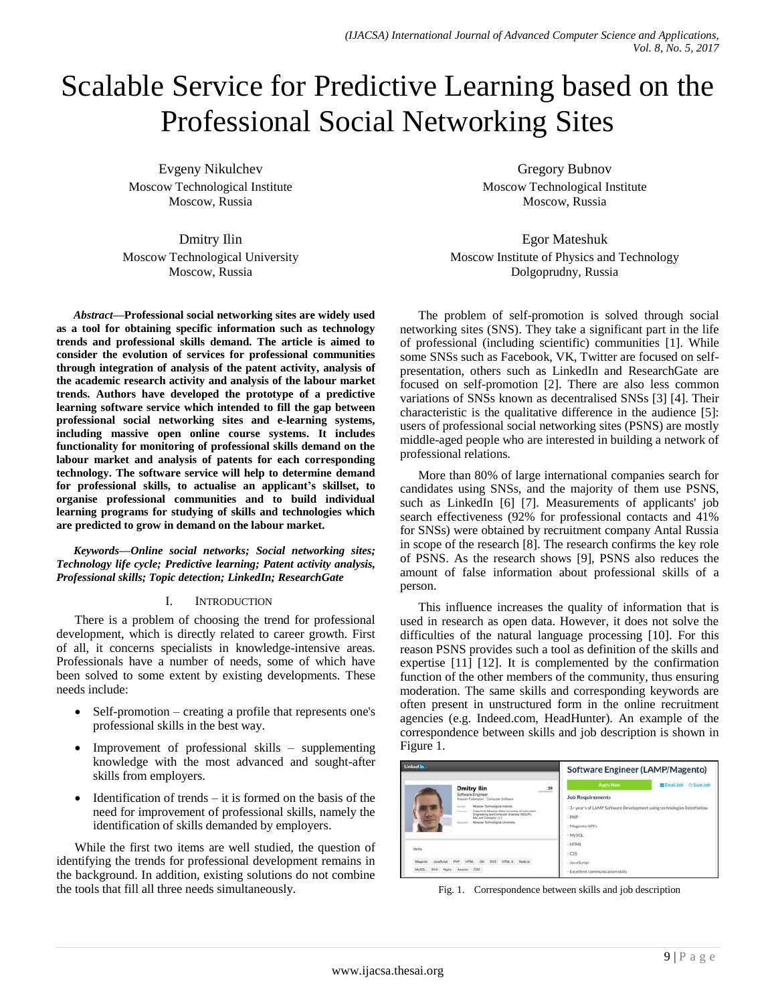# Scalable Service for Predictive Learning based on the Professional Social Networking Sites

Evgeny Nikulchev Moscow Technological Institute Moscow, Russia

Dmitry Ilin Moscow Technological University Moscow, Russia

*Abstract***—Professional social networking sites are widely used as a tool for obtaining specific information such as technology trends and professional skills demand. The article is aimed to consider the evolution of services for professional communities through integration of analysis of the patent activity, analysis of the academic research activity and analysis of the labour market trends. Authors have developed the prototype of a predictive learning software service which intended to fill the gap between professional social networking sites and e-learning systems, including massive open online course systems. It includes functionality for monitoring of professional skills demand on the labour market and analysis of patents for each corresponding technology. The software service will help to determine demand for professional skills, to actualise an applicant's skillset, to organise professional communities and to build individual learning programs for studying of skills and technologies which are predicted to grow in demand on the labour market.**

*Keywords—Online social networks; Social networking sites; Technology life cycle; Predictive learning; Patent activity analysis, Professional skills; Topic detection; LinkedIn; ResearchGate*

## I. INTRODUCTION

There is a problem of choosing the trend for professional development, which is directly related to career growth. First of all, it concerns specialists in knowledge-intensive areas. Professionals have a number of needs, some of which have been solved to some extent by existing developments. These needs include:

- Self-promotion creating a profile that represents one's professional skills in the best way.
- Improvement of professional skills supplementing knowledge with the most advanced and sought-after skills from employers.
- $\bullet$  Identification of trends it is formed on the basis of the need for improvement of professional skills, namely the identification of skills demanded by employers.

While the first two items are well studied, the question of identifying the trends for professional development remains in the background. In addition, existing solutions do not combine the tools that fill all three needs simultaneously.

Gregory Bubnov Moscow Technological Institute Moscow, Russia

Egor Mateshuk Moscow Institute of Physics and Technology Dolgoprudny, Russia

The problem of self-promotion is solved through social networking sites (SNS). They take a significant part in the life of professional (including scientific) communities [1]. While some SNSs such as Facebook, VK, Twitter are focused on selfpresentation, others such as LinkedIn and ResearchGate are focused on self-promotion [2]. There are also less common variations of SNSs known as decentralised SNSs [3] [4]. Their characteristic is the qualitative difference in the audience [5]: users of professional social networking sites (PSNS) are mostly middle-aged people who are interested in building a network of professional relations.

More than 80% of large international companies search for candidates using SNSs, and the majority of them use PSNS, such as LinkedIn [6] [7]. Measurements of applicants' job search effectiveness (92% for professional contacts and 41% for SNSs) were obtained by recruitment company Antal Russia in scope of the research [8]. The research confirms the key role of PSNS. As the research shows [9], PSNS also reduces the amount of false information about professional skills of a person.

This influence increases the quality of information that is used in research as open data. However, it does not solve the difficulties of the natural language processing [10]. For this reason PSNS provides such a tool as definition of the skills and expertise [11] [12]. It is complemented by the confirmation function of the other members of the community, thus ensuring moderation. The same skills and corresponding keywords are often present in unstructured form in the online recruitment agencies (e.g. Indeed.com, HeadHunter). An example of the correspondence between skills and job description is shown in Figure 1.

| <b>Linked</b> in                                                                                                                                                                                                                                                                                                                                      | Software Engineer (LAMP/Magento)                                                                                                                                   |  |
|-------------------------------------------------------------------------------------------------------------------------------------------------------------------------------------------------------------------------------------------------------------------------------------------------------------------------------------------------------|--------------------------------------------------------------------------------------------------------------------------------------------------------------------|--|
| $^{28}$<br><b>Dmitry Ilin</b><br>Software Engineer<br>Russian Paderation : Computer Software<br>Miscow Technological Hellsute<br><b>Durant</b><br>Cyberroll, Moscow State University of Institutent<br>Presidents.<br>Engineering and Computer Sciences (MOLPS).<br>Mul.com Company, LLC<br>Missolar Techniskigscal Linversity<br><b>Britannian C</b> | <b>Apply Now</b><br>SEmail Job<br>C Save Job<br><b>Job Requirements</b><br>- 3+ year's of LAMP Software Development using technologies listed below<br>$ P54P$<br> |  |
| Skills:<br>HTMLS NodeJa<br>Evo <sub>1</sub><br><b>OH</b>                                                                                                                                                                                                                                                                                              | $-HTML$<br>$-CSS$<br>- JavaScript<br>- Excellent communication skills                                                                                              |  |

Fig. 1. Correspondence between skills and job description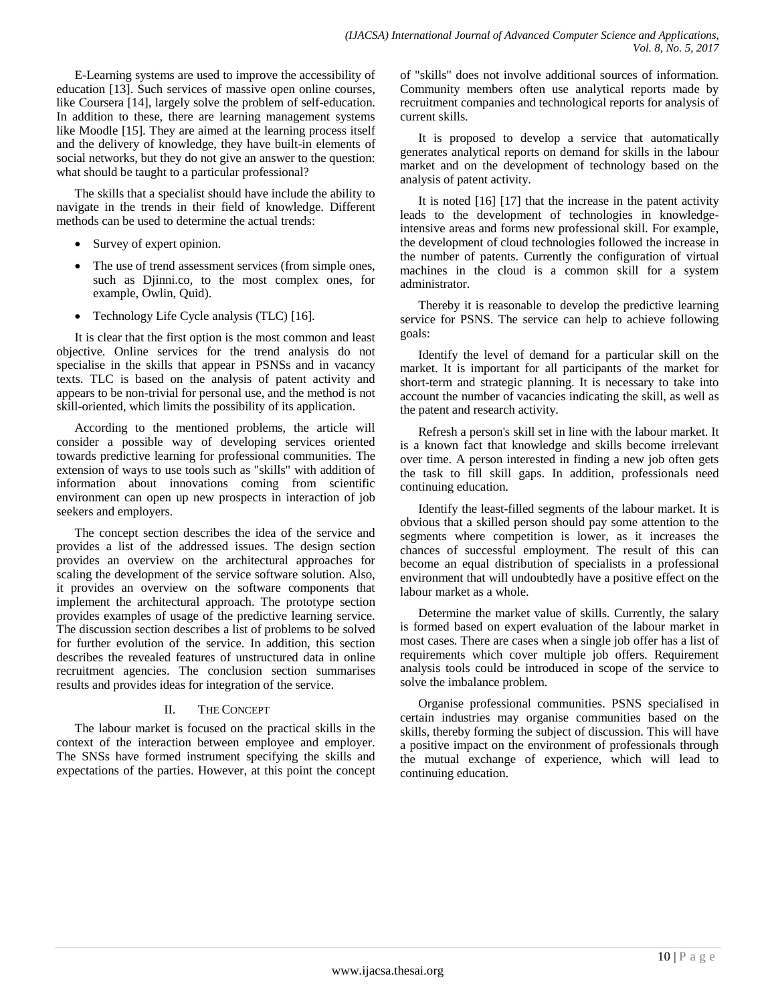E-Learning systems are used to improve the accessibility of education [13]. Such services of massive open online courses, like Coursera [14], largely solve the problem of self-education. In addition to these, there are learning management systems like Moodle [15]. They are aimed at the learning process itself and the delivery of knowledge, they have built-in elements of social networks, but they do not give an answer to the question: what should be taught to a particular professional?

The skills that a specialist should have include the ability to navigate in the trends in their field of knowledge. Different methods can be used to determine the actual trends:

- Survey of expert opinion.
- The use of trend assessment services (from simple ones, such as Djinni.co, to the most complex ones, for example, Owlin, Quid).
- Technology Life Cycle analysis (TLC) [16].

It is clear that the first option is the most common and least objective. Online services for the trend analysis do not specialise in the skills that appear in PSNSs and in vacancy texts. TLC is based on the analysis of patent activity and appears to be non-trivial for personal use, and the method is not skill-oriented, which limits the possibility of its application.

According to the mentioned problems, the article will consider a possible way of developing services oriented towards predictive learning for professional communities. The extension of ways to use tools such as "skills" with addition of information about innovations coming from scientific environment can open up new prospects in interaction of job seekers and employers.

The concept section describes the idea of the service and provides a list of the addressed issues. The design section provides an overview on the architectural approaches for scaling the development of the service software solution. Also, it provides an overview on the software components that implement the architectural approach. The prototype section provides examples of usage of the predictive learning service. The discussion section describes a list of problems to be solved for further evolution of the service. In addition, this section describes the revealed features of unstructured data in online recruitment agencies. The conclusion section summarises results and provides ideas for integration of the service.

# II. THE CONCEPT

The labour market is focused on the practical skills in the context of the interaction between employee and employer. The SNSs have formed instrument specifying the skills and expectations of the parties. However, at this point the concept of "skills" does not involve additional sources of information. Community members often use analytical reports made by recruitment companies and technological reports for analysis of current skills.

It is proposed to develop a service that automatically generates analytical reports on demand for skills in the labour market and on the development of technology based on the analysis of patent activity.

It is noted [16] [17] that the increase in the patent activity leads to the development of technologies in knowledgeintensive areas and forms new professional skill. For example, the development of cloud technologies followed the increase in the number of patents. Currently the configuration of virtual machines in the cloud is a common skill for a system administrator.

Thereby it is reasonable to develop the predictive learning service for PSNS. The service can help to achieve following goals:

Identify the level of demand for a particular skill on the market. It is important for all participants of the market for short-term and strategic planning. It is necessary to take into account the number of vacancies indicating the skill, as well as the patent and research activity.

Refresh a person's skill set in line with the labour market. It is a known fact that knowledge and skills become irrelevant over time. A person interested in finding a new job often gets the task to fill skill gaps. In addition, professionals need continuing education.

Identify the least-filled segments of the labour market. It is obvious that a skilled person should pay some attention to the segments where competition is lower, as it increases the chances of successful employment. The result of this can become an equal distribution of specialists in a professional environment that will undoubtedly have a positive effect on the labour market as a whole.

Determine the market value of skills. Currently, the salary is formed based on expert evaluation of the labour market in most cases. There are cases when a single job offer has a list of requirements which cover multiple job offers. Requirement analysis tools could be introduced in scope of the service to solve the imbalance problem.

Organise professional communities. PSNS specialised in certain industries may organise communities based on the skills, thereby forming the subject of discussion. This will have a positive impact on the environment of professionals through the mutual exchange of experience, which will lead to continuing education.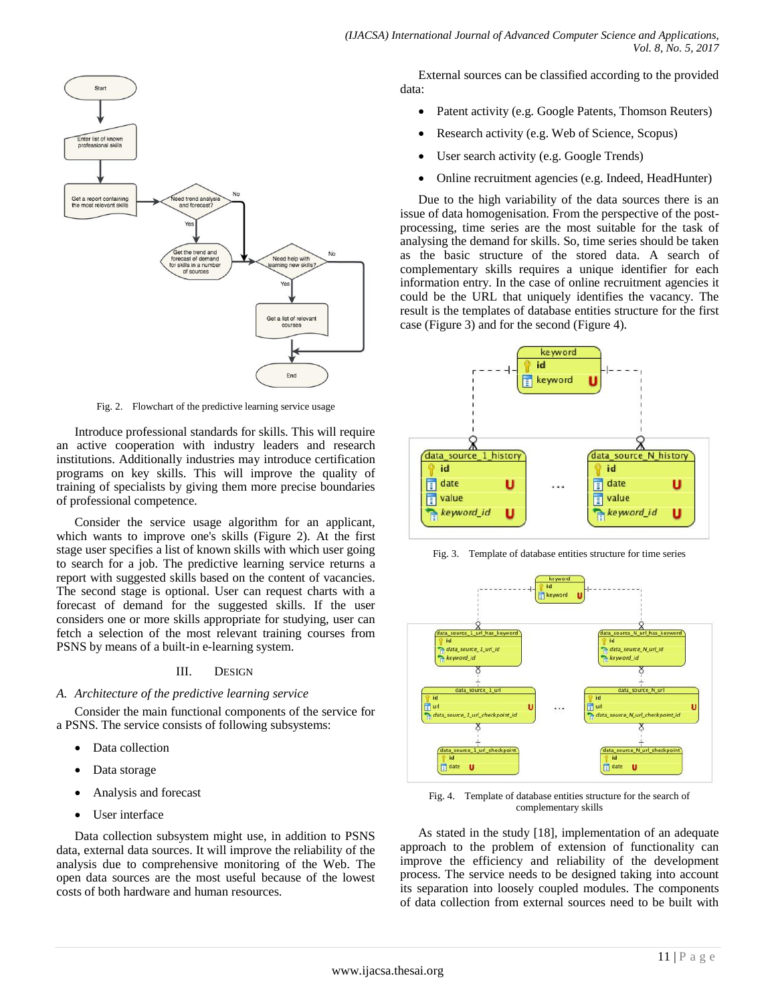

Fig. 2. Flowchart of the predictive learning service usage

Introduce professional standards for skills. This will require an active cooperation with industry leaders and research institutions. Additionally industries may introduce certification programs on key skills. This will improve the quality of training of specialists by giving them more precise boundaries of professional competence.

Consider the service usage algorithm for an applicant, which wants to improve one's skills (Figure 2). At the first stage user specifies a list of known skills with which user going to search for a job. The predictive learning service returns a report with suggested skills based on the content of vacancies. The second stage is optional. User can request charts with a forecast of demand for the suggested skills. If the user considers one or more skills appropriate for studying, user can fetch a selection of the most relevant training courses from PSNS by means of a built-in e-learning system.

#### III. DESIGN

#### *A. Architecture of the predictive learning service*

Consider the main functional components of the service for a PSNS. The service consists of following subsystems:

- Data collection
- Data storage
- Analysis and forecast
- User interface

Data collection subsystem might use, in addition to PSNS data, external data sources. It will improve the reliability of the analysis due to comprehensive monitoring of the Web. The open data sources are the most useful because of the lowest costs of both hardware and human resources.

External sources can be classified according to the provided data:

- Patent activity (e.g. Google Patents, Thomson Reuters)
- Research activity (e.g. Web of Science, Scopus)
- User search activity (e.g. Google Trends)
- Online recruitment agencies (e.g. Indeed, HeadHunter)

Due to the high variability of the data sources there is an issue of data homogenisation. From the perspective of the postprocessing, time series are the most suitable for the task of analysing the demand for skills. So, time series should be taken as the basic structure of the stored data. A search of complementary skills requires a unique identifier for each information entry. In the case of online recruitment agencies it could be the URL that uniquely identifies the vacancy. The result is the templates of database entities structure for the first case (Figure 3) and for the second (Figure 4).



Fig. 3. Template of database entities structure for time series



Fig. 4. Template of database entities structure for the search of complementary skills

As stated in the study [18], implementation of an adequate approach to the problem of extension of functionality can improve the efficiency and reliability of the development process. The service needs to be designed taking into account its separation into loosely coupled modules. The components of data collection from external sources need to be built with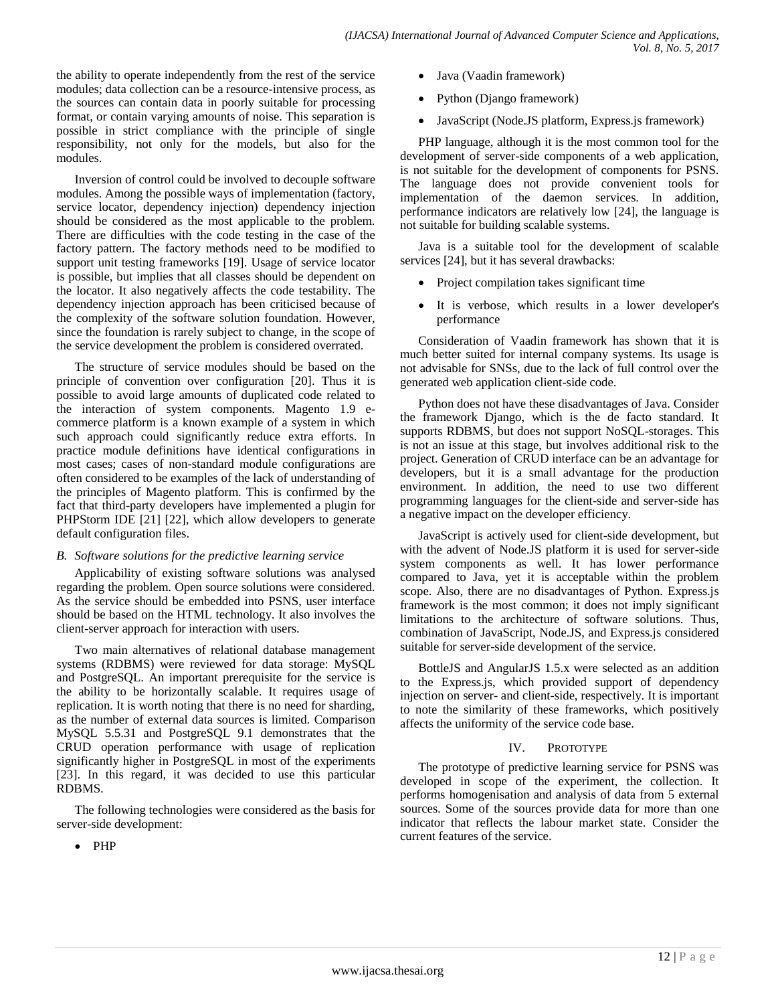the ability to operate independently from the rest of the service modules; data collection can be a resource-intensive process, as the sources can contain data in poorly suitable for processing format, or contain varying amounts of noise. This separation is possible in strict compliance with the principle of single responsibility, not only for the models, but also for the modules.

Inversion of control could be involved to decouple software modules. Among the possible ways of implementation (factory, service locator, dependency injection) dependency injection should be considered as the most applicable to the problem. There are difficulties with the code testing in the case of the factory pattern. The factory methods need to be modified to support unit testing frameworks [19]. Usage of service locator is possible, but implies that all classes should be dependent on the locator. It also negatively affects the code testability. The dependency injection approach has been criticised because of the complexity of the software solution foundation. However, since the foundation is rarely subject to change, in the scope of the service development the problem is considered overrated.

The structure of service modules should be based on the principle of convention over configuration [20]. Thus it is possible to avoid large amounts of duplicated code related to the interaction of system components. Magento 1.9 ecommerce platform is a known example of a system in which such approach could significantly reduce extra efforts. In practice module definitions have identical configurations in most cases; cases of non-standard module configurations are often considered to be examples of the lack of understanding of the principles of Magento platform. This is confirmed by the fact that third-party developers have implemented a plugin for PHPStorm IDE [21] [22], which allow developers to generate default configuration files.

## *B. Software solutions for the predictive learning service*

Applicability of existing software solutions was analysed regarding the problem. Open source solutions were considered. As the service should be embedded into PSNS, user interface should be based on the HTML technology. It also involves the client-server approach for interaction with users.

Two main alternatives of relational database management systems (RDBMS) were reviewed for data storage: MySQL and PostgreSQL. An important prerequisite for the service is the ability to be horizontally scalable. It requires usage of replication. It is worth noting that there is no need for sharding, as the number of external data sources is limited. Comparison MySQL 5.5.31 and PostgreSQL 9.1 demonstrates that the CRUD operation performance with usage of replication significantly higher in PostgreSQL in most of the experiments [23]. In this regard, it was decided to use this particular RDBMS.

The following technologies were considered as the basis for server-side development:

• PHP

- Java (Vaadin framework)
- Python (Django framework)
- JavaScript (Node.JS platform, Express.js framework)

PHP language, although it is the most common tool for the development of server-side components of a web application, is not suitable for the development of components for PSNS. The language does not provide convenient tools for implementation of the daemon services. In addition, performance indicators are relatively low [24], the language is not suitable for building scalable systems.

Java is a suitable tool for the development of scalable services [24], but it has several drawbacks:

- Project compilation takes significant time
- It is verbose, which results in a lower developer's performance

Consideration of Vaadin framework has shown that it is much better suited for internal company systems. Its usage is not advisable for SNSs, due to the lack of full control over the generated web application client-side code.

Python does not have these disadvantages of Java. Consider the framework Django, which is the de facto standard. It supports RDBMS, but does not support NoSQL-storages. This is not an issue at this stage, but involves additional risk to the project. Generation of CRUD interface can be an advantage for developers, but it is a small advantage for the production environment. In addition, the need to use two different programming languages for the client-side and server-side has a negative impact on the developer efficiency.

JavaScript is actively used for client-side development, but with the advent of Node.JS platform it is used for server-side system components as well. It has lower performance compared to Java, yet it is acceptable within the problem scope. Also, there are no disadvantages of Python. Express.js framework is the most common; it does not imply significant limitations to the architecture of software solutions. Thus, combination of JavaScript, Node.JS, and Express.js considered suitable for server-side development of the service.

BottleJS and AngularJS 1.5.x were selected as an addition to the Express.js, which provided support of dependency injection on server- and client-side, respectively. It is important to note the similarity of these frameworks, which positively affects the uniformity of the service code base.

# IV. PROTOTYPE

The prototype of predictive learning service for PSNS was developed in scope of the experiment, the collection. It performs homogenisation and analysis of data from 5 external sources. Some of the sources provide data for more than one indicator that reflects the labour market state. Consider the current features of the service.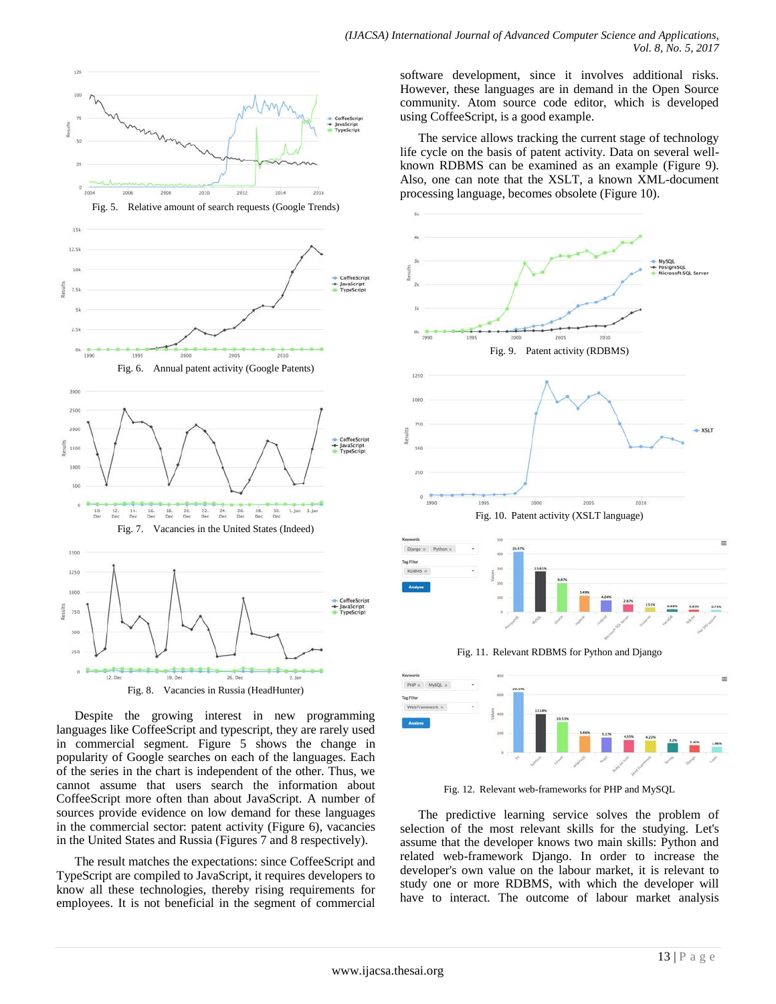

 $125$ 

Fig. 8. Vacancies in Russia (HeadHunter)

Despite the growing interest in new programming languages like CoffeeScript and typescript, they are rarely used in commercial segment. Figure 5 shows the change in popularity of Google searches on each of the languages. Each of the series in the chart is independent of the other. Thus, we cannot assume that users search the information about CoffeeScript more often than about JavaScript. A number of sources provide evidence on low demand for these languages in the commercial sector: patent activity (Figure 6), vacancies in the United States and Russia (Figures 7 and 8 respectively).

The result matches the expectations: since CoffeeScript and TypeScript are compiled to JavaScript, it requires developers to know all these technologies, thereby rising requirements for employees. It is not beneficial in the segment of commercial

software development, since it involves additional risks. However, these languages are in demand in the Open Source community. Atom source code editor, which is developed using CoffeeScript, is a good example.

The service allows tracking the current stage of technology life cycle on the basis of patent activity. Data on several wellknown RDBMS can be examined as an example (Figure 9). Also, one can note that the XSLT, a known XML-document processing language, becomes obsolete (Figure 10).



Fig. 12. Relevant web-frameworks for PHP and MySQL

The predictive learning service solves the problem of selection of the most relevant skills for the studying. Let's assume that the developer knows two main skills: Python and related web-framework Django. In order to increase the developer's own value on the labour market, it is relevant to study one or more RDBMS, with which the developer will have to interact. The outcome of labour market analysis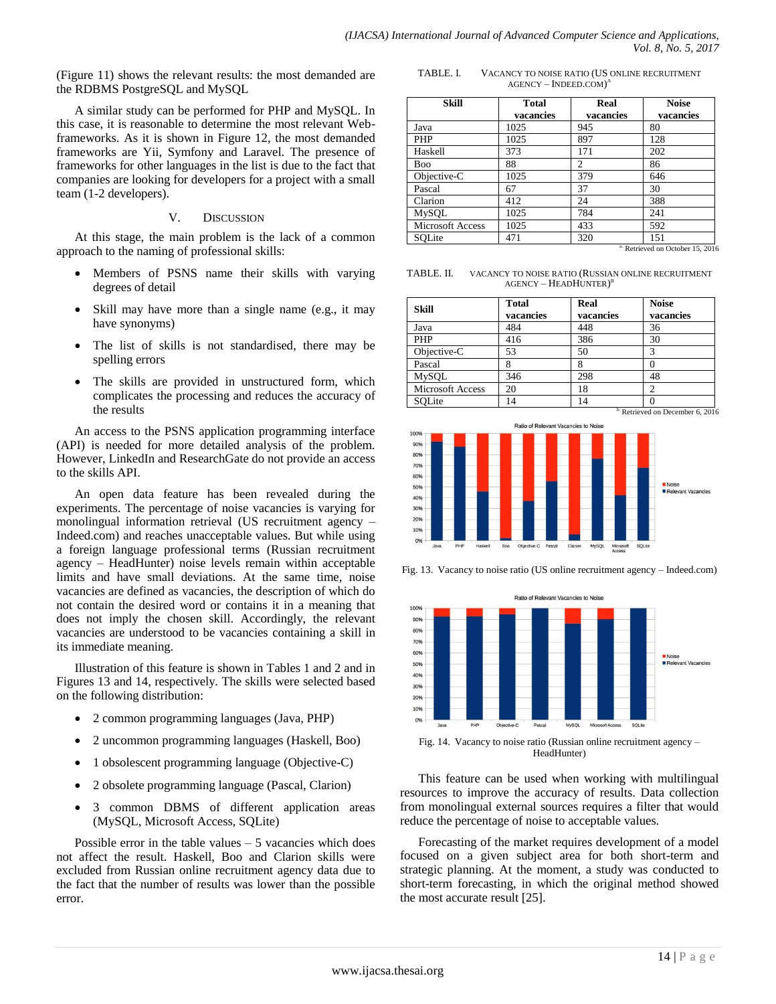(Figure 11) shows the relevant results: the most demanded are the RDBMS PostgreSQL and MySQL

A similar study can be performed for PHP and MySQL. In this case, it is reasonable to determine the most relevant Webframeworks. As it is shown in Figure 12, the most demanded frameworks are Yii, Symfony and Laravel. The presence of frameworks for other languages in the list is due to the fact that companies are looking for developers for a project with a small team (1-2 developers).

#### V. DISCUSSION

At this stage, the main problem is the lack of a common approach to the naming of professional skills:

- Members of PSNS name their skills with varying degrees of detail
- Skill may have more than a single name (e.g., it may have synonyms)
- The list of skills is not standardised, there may be spelling errors
- The skills are provided in unstructured form, which complicates the processing and reduces the accuracy of the results

An access to the PSNS application programming interface (API) is needed for more detailed analysis of the problem. However, LinkedIn and ResearchGate do not provide an access to the skills API.

An open data feature has been revealed during the experiments. The percentage of noise vacancies is varying for monolingual information retrieval (US recruitment agency – Indeed.com) and reaches unacceptable values. But while using a foreign language professional terms (Russian recruitment agency – HeadHunter) noise levels remain within acceptable limits and have small deviations. At the same time, noise vacancies are defined as vacancies, the description of which do not contain the desired word or contains it in a meaning that does not imply the chosen skill. Accordingly, the relevant vacancies are understood to be vacancies containing a skill in its immediate meaning.

Illustration of this feature is shown in Tables 1 and 2 and in Figures 13 and 14, respectively. The skills were selected based on the following distribution:

- 2 common programming languages (Java, PHP)
- 2 uncommon programming languages (Haskell, Boo)
- 1 obsolescent programming language (Objective-C)
- 2 obsolete programming language (Pascal, Clarion)
- 3 common DBMS of different application areas (MySQL, Microsoft Access, SQLite)

Possible error in the table values  $-5$  vacancies which does not affect the result. Haskell, Boo and Clarion skills were excluded from Russian online recruitment agency data due to the fact that the number of results was lower than the possible error.

TABLE. I. VACANCY TO NOISE RATIO (US ONLINE RECRUITMENT AGENCY – INDEED.COM) A

| Skill                   | Total     | Real           | <b>Noise</b> |
|-------------------------|-----------|----------------|--------------|
|                         | vacancies | vacancies      | vacancies    |
| Java                    | 1025      | 945            | 80           |
| PHP                     | 1025      | 897            | 128          |
| Haskell                 | 373       | 171            | 202          |
| Boo                     | 88        | $\overline{c}$ | 86           |
| Objective-C             | 1025      | 379            | 646          |
| Pascal                  | 67        | 37             | 30           |
| Clarion                 | 412       | 24             | 388          |
| MySQL                   | 1025      | 784            | 241          |
| <b>Microsoft Access</b> | 1025      | 433            | 592          |
| SOLite                  | 471       | 320            | 151          |

<sup>a.</sup> Retrieved on October 15, 2016

TABLE. II. VACANCY TO NOISE RATIO (RUSSIAN ONLINE RECRUITMENT AGENCY – HEADHUNTER)<sup>b</sup>

| <b>Skill</b>            | <b>Total</b> | Real      | <b>Noise</b> |
|-------------------------|--------------|-----------|--------------|
|                         | vacancies    | vacancies | vacancies    |
| Java                    | 484          | 448       | 36           |
| PHP                     | 416          | 386       | 30           |
| Objective-C             | 53           | 50        |              |
| Pascal                  |              | δ         |              |
| MySQL                   | 346          | 298       | 48           |
| <b>Microsoft Access</b> | 20           | 18        |              |
| SQLite                  |              |           |              |

Retrieved on December 6, 2016



Fig. 13. Vacancy to noise ratio (US online recruitment agency – Indeed.com)



Fig. 14. Vacancy to noise ratio (Russian online recruitment agency – HeadHunter)

This feature can be used when working with multilingual resources to improve the accuracy of results. Data collection from monolingual external sources requires a filter that would reduce the percentage of noise to acceptable values.

Forecasting of the market requires development of a model focused on a given subject area for both short-term and strategic planning. At the moment, a study was conducted to short-term forecasting, in which the original method showed the most accurate result [25].